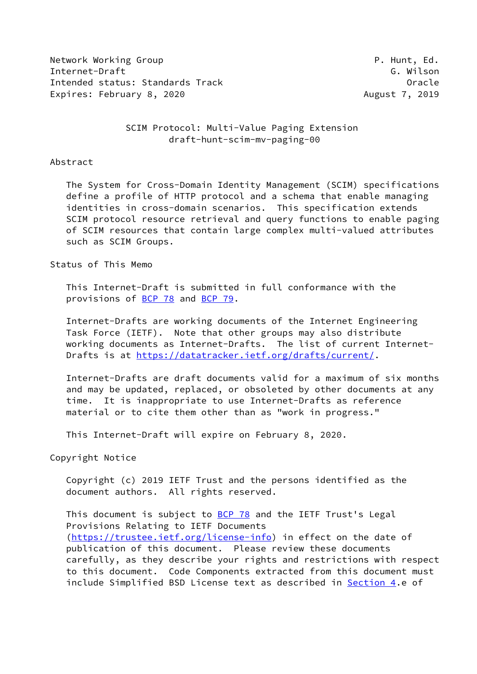Network Working Group **P. Hunt, Ed.** Internet-Draft G. Wilson Intended status: Standards Track Cross Controller Controller Cracle Expires: February 8, 2020 **August 7, 2019** 

## SCIM Protocol: Multi-Value Paging Extension draft-hunt-scim-mv-paging-00

#### Abstract

 The System for Cross-Domain Identity Management (SCIM) specifications define a profile of HTTP protocol and a schema that enable managing identities in cross-domain scenarios. This specification extends SCIM protocol resource retrieval and query functions to enable paging of SCIM resources that contain large complex multi-valued attributes such as SCIM Groups.

Status of This Memo

 This Internet-Draft is submitted in full conformance with the provisions of [BCP 78](https://datatracker.ietf.org/doc/pdf/bcp78) and [BCP 79](https://datatracker.ietf.org/doc/pdf/bcp79).

 Internet-Drafts are working documents of the Internet Engineering Task Force (IETF). Note that other groups may also distribute working documents as Internet-Drafts. The list of current Internet- Drafts is at<https://datatracker.ietf.org/drafts/current/>.

 Internet-Drafts are draft documents valid for a maximum of six months and may be updated, replaced, or obsoleted by other documents at any time. It is inappropriate to use Internet-Drafts as reference material or to cite them other than as "work in progress."

This Internet-Draft will expire on February 8, 2020.

Copyright Notice

 Copyright (c) 2019 IETF Trust and the persons identified as the document authors. All rights reserved.

This document is subject to **[BCP 78](https://datatracker.ietf.org/doc/pdf/bcp78)** and the IETF Trust's Legal Provisions Relating to IETF Documents [\(https://trustee.ietf.org/license-info](https://trustee.ietf.org/license-info)) in effect on the date of publication of this document. Please review these documents carefully, as they describe your rights and restrictions with respect to this document. Code Components extracted from this document must include Simplified BSD License text as described in [Section 4.](#page-10-0)e of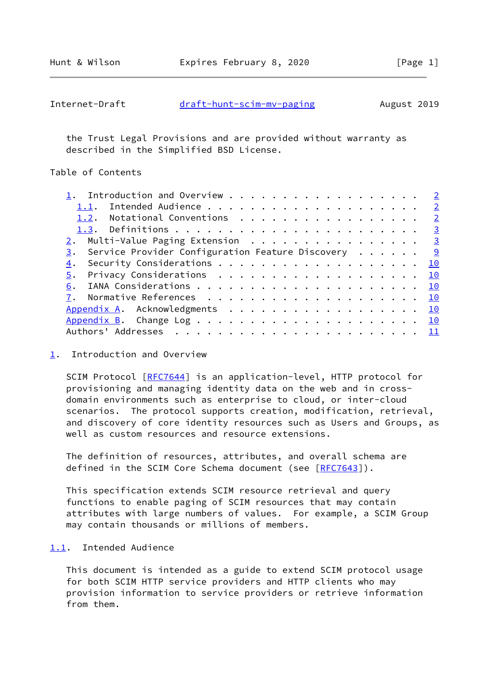Hunt & Wilson **Expires February 8, 2020** [Page 1]

<span id="page-1-1"></span>

| Internet-Draft | draft-hunt-scim-mv-paging | August 2019 |
|----------------|---------------------------|-------------|
|----------------|---------------------------|-------------|

 the Trust Legal Provisions and are provided without warranty as described in the Simplified BSD License.

# Table of Contents

| 1. Introduction and Overview 2                        |                |
|-------------------------------------------------------|----------------|
|                                                       | $\overline{2}$ |
| 1.2. Notational Conventions 2                         |                |
|                                                       |                |
| 2. Multi-Value Paging Extension 3                     |                |
| 3. Service Provider Configuration Feature Discovery 9 |                |
| 4.                                                    | 10             |
| Privacy Considerations <u>10</u><br>5.                |                |
| 6.                                                    |                |
|                                                       |                |
| Appendix A. Acknowledgments 10                        |                |
|                                                       |                |
|                                                       |                |
|                                                       |                |

<span id="page-1-0"></span>[1](#page-1-0). Introduction and Overview

SCIM Protocol [[RFC7644](https://datatracker.ietf.org/doc/pdf/rfc7644)] is an application-level, HTTP protocol for provisioning and managing identity data on the web and in cross domain environments such as enterprise to cloud, or inter-cloud scenarios. The protocol supports creation, modification, retrieval, and discovery of core identity resources such as Users and Groups, as well as custom resources and resource extensions.

 The definition of resources, attributes, and overall schema are defined in the SCIM Core Schema document (see [[RFC7643](https://datatracker.ietf.org/doc/pdf/rfc7643)]).

 This specification extends SCIM resource retrieval and query functions to enable paging of SCIM resources that may contain attributes with large numbers of values. For example, a SCIM Group may contain thousands or millions of members.

#### <span id="page-1-2"></span>[1.1](#page-1-2). Intended Audience

 This document is intended as a guide to extend SCIM protocol usage for both SCIM HTTP service providers and HTTP clients who may provision information to service providers or retrieve information from them.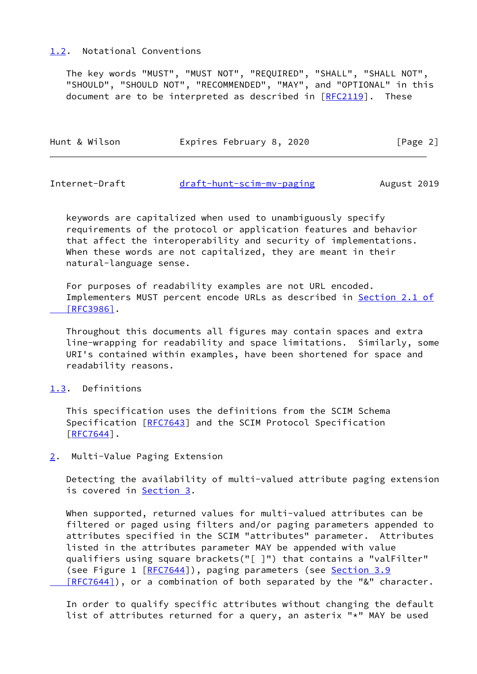#### <span id="page-2-0"></span>[1.2](#page-2-0). Notational Conventions

 The key words "MUST", "MUST NOT", "REQUIRED", "SHALL", "SHALL NOT", "SHOULD", "SHOULD NOT", "RECOMMENDED", "MAY", and "OPTIONAL" in this document are to be interpreted as described in  $[REC2119]$ . These

| Hunt & Wilson | Expires February 8, 2020 | [Page 2] |
|---------------|--------------------------|----------|
|               |                          |          |

<span id="page-2-2"></span>Internet-Draft [draft-hunt-scim-mv-paging](https://datatracker.ietf.org/doc/pdf/draft-hunt-scim-mv-paging) August 2019

 keywords are capitalized when used to unambiguously specify requirements of the protocol or application features and behavior that affect the interoperability and security of implementations. When these words are not capitalized, they are meant in their natural-language sense.

 For purposes of readability examples are not URL encoded. Implementers MUST percent encode URLs as described in [Section](https://datatracker.ietf.org/doc/pdf/rfc3986#section-2.1) 2.1 of  [\[RFC3986\]](https://datatracker.ietf.org/doc/pdf/rfc3986#section-2.1).

 Throughout this documents all figures may contain spaces and extra line-wrapping for readability and space limitations. Similarly, some URI's contained within examples, have been shortened for space and readability reasons.

#### <span id="page-2-1"></span>[1.3](#page-2-1). Definitions

 This specification uses the definitions from the SCIM Schema Specification [[RFC7643](https://datatracker.ietf.org/doc/pdf/rfc7643)] and the SCIM Protocol Specification [\[RFC7644](https://datatracker.ietf.org/doc/pdf/rfc7644)].

# <span id="page-2-3"></span>[2](#page-2-3). Multi-Value Paging Extension

 Detecting the availability of multi-valued attribute paging extension is covered in [Section 3.](#page-9-0)

 When supported, returned values for multi-valued attributes can be filtered or paged using filters and/or paging parameters appended to attributes specified in the SCIM "attributes" parameter. Attributes listed in the attributes parameter MAY be appended with value qualifiers using square brackets("[ ]") that contains a "valFilter" (see Figure 1 [[RFC7644](https://datatracker.ietf.org/doc/pdf/rfc7644)]), paging parameters (see [Section](https://datatracker.ietf.org/doc/pdf/rfc7644#section-3.9) 3.9 [RFC7644]), or a combination of both separated by the "&" character.

 In order to qualify specific attributes without changing the default list of attributes returned for a query, an asterix "\*" MAY be used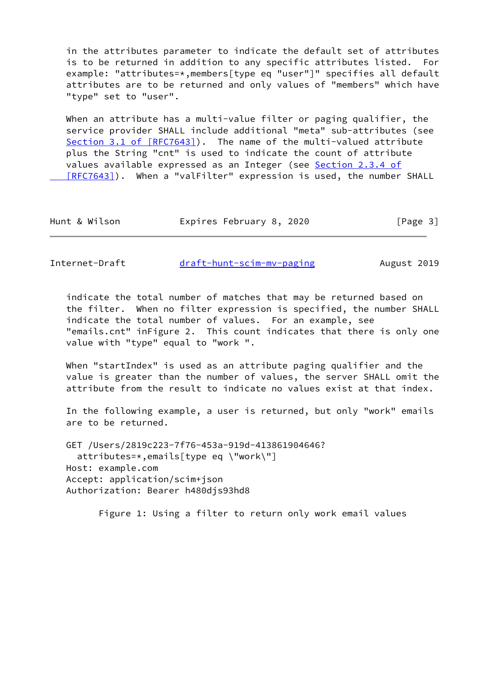in the attributes parameter to indicate the default set of attributes is to be returned in addition to any specific attributes listed. For example: "attributes=\*,members[type eq "user"]" specifies all default attributes are to be returned and only values of "members" which have "type" set to "user".

When an attribute has a multi-value filter or paging qualifier, the service provider SHALL include additional "meta" sub-attributes (see Section [3.1 of \[RFC7643\]](https://datatracker.ietf.org/doc/pdf/rfc7643#section-3.1)). The name of the multi-valued attribute plus the String "cnt" is used to indicate the count of attribute values available expressed as an Integer (see Section [2.3.4 of](https://datatracker.ietf.org/doc/pdf/rfc7643#section-2.3.4) [RFC7643]). When a "valFilter" expression is used, the number SHALL

| Hunt & Wilson |  | Expires February 8, 2020 |  | [Page 3] |  |
|---------------|--|--------------------------|--|----------|--|
|---------------|--|--------------------------|--|----------|--|

Internet-Draft [draft-hunt-scim-mv-paging](https://datatracker.ietf.org/doc/pdf/draft-hunt-scim-mv-paging) August 2019

 indicate the total number of matches that may be returned based on the filter. When no filter expression is specified, the number SHALL indicate the total number of values. For an example, see "emails.cnt" inFigure 2. This count indicates that there is only one value with "type" equal to "work ".

 When "startIndex" is used as an attribute paging qualifier and the value is greater than the number of values, the server SHALL omit the attribute from the result to indicate no values exist at that index.

 In the following example, a user is returned, but only "work" emails are to be returned.

 GET /Users/2819c223-7f76-453a-919d-413861904646? attributes=\*,emails[type eq \"work\"] Host: example.com Accept: application/scim+json Authorization: Bearer h480djs93hd8

Figure 1: Using a filter to return only work email values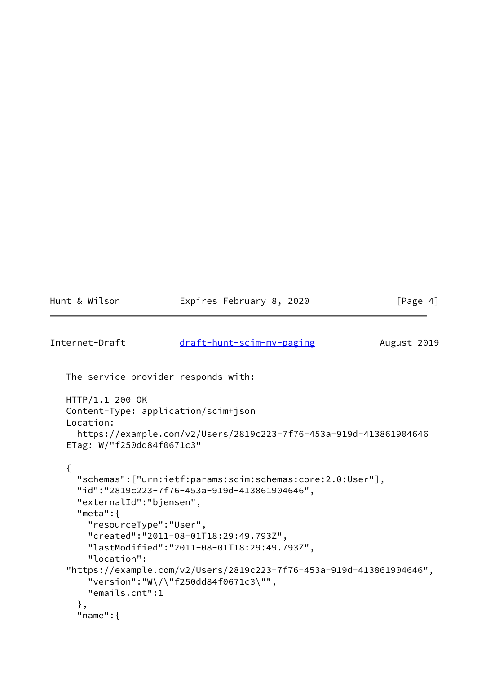```
Hunt & Wilson Expires February 8, 2020 [Page 4]
draft-hunt-scim-mv-paging August 2019
   The service provider responds with:
   HTTP/1.1 200 OK
   Content-Type: application/scim+json
   Location:
     https://example.com/v2/Users/2819c223-7f76-453a-919d-413861904646
   ETag: W/"f250dd84f0671c3"
   {
     "schemas":["urn:ietf:params:scim:schemas:core:2.0:User"],
     "id":"2819c223-7f76-453a-919d-413861904646",
     "externalId":"bjensen",
     "meta":{
       "resourceType":"User",
       "created":"2011-08-01T18:29:49.793Z",
       "lastModified":"2011-08-01T18:29:49.793Z",
       "location":
    "https://example.com/v2/Users/2819c223-7f76-453a-919d-413861904646",
       "version":"W\/\"f250dd84f0671c3\"",
       "emails.cnt":1
     },
     "name":{
```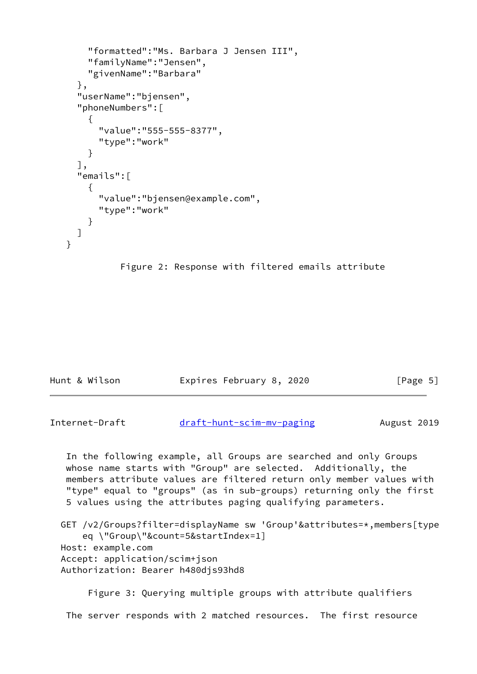```
 "formatted":"Ms. Barbara J Jensen III",
     "familyName":"Jensen",
     "givenName":"Barbara"
   },
   "userName":"bjensen",
   "phoneNumbers":[
     {
       "value":"555-555-8377",
       "type":"work"
     }
   ],
   "emails":[
     {
       "value":"bjensen@example.com",
       "type":"work"
     }
   ]
 }
```


| Hunt & Wilson | Expires February 8, 2020 | [Page 5] |
|---------------|--------------------------|----------|

```
draft-hunt-scim-mv-paging August 2019
```
 In the following example, all Groups are searched and only Groups whose name starts with "Group" are selected. Additionally, the members attribute values are filtered return only member values with "type" equal to "groups" (as in sub-groups) returning only the first 5 values using the attributes paging qualifying parameters.

```
 GET /v2/Groups?filter=displayName sw 'Group'&attributes=*,members[type
     eq \"Group\"&count=5&startIndex=1]
 Host: example.com
 Accept: application/scim+json
 Authorization: Bearer h480djs93hd8
```
 Figure 3: Querying multiple groups with attribute qualifiers The server responds with 2 matched resources. The first resource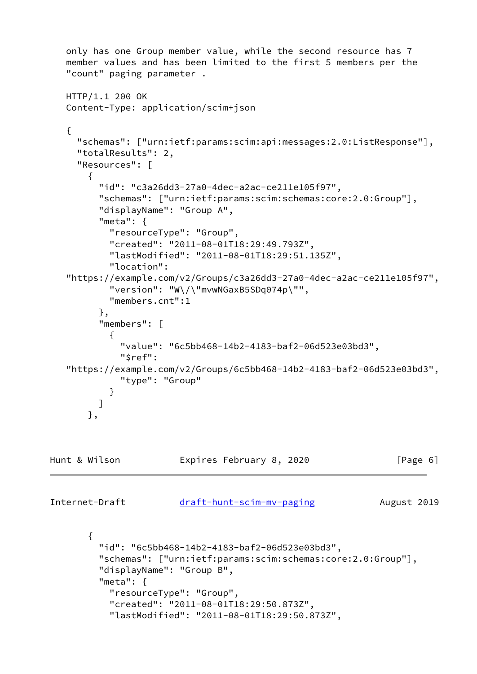```
 only has one Group member value, while the second resource has 7
   member values and has been limited to the first 5 members per the
    "count" paging parameter .
   HTTP/1.1 200 OK
   Content-Type: application/scim+json
    {
      "schemas": ["urn:ietf:params:scim:api:messages:2.0:ListResponse"],
      "totalResults": 2,
      "Resources": [
       {
          "id": "c3a26dd3-27a0-4dec-a2ac-ce211e105f97",
         "schemas": ["urn:ietf:params:scim:schemas:core:2.0:Group"],
         "displayName": "Group A",
         "meta": {
           "resourceType": "Group",
           "created": "2011-08-01T18:29:49.793Z",
           "lastModified": "2011-08-01T18:29:51.135Z",
           "location":
    "https://example.com/v2/Groups/c3a26dd3-27a0-4dec-a2ac-ce211e105f97",
           "version": "W\/\"mvwNGaxB5SDq074p\"",
           "members.cnt":1
         },
         "members": [
\{ "value": "6c5bb468-14b2-4183-baf2-06d523e03bd3",
             "$ref":
    "https://example.com/v2/Groups/6c5bb468-14b2-4183-baf2-06d523e03bd3",
             "type": "Group"
 }
         ]
       },
Hunt & Wilson Expires February 8, 2020 [Page 6]
draft-hunt-scim-mv-paging August 2019
        {
          "id": "6c5bb468-14b2-4183-baf2-06d523e03bd3",
         "schemas": ["urn:ietf:params:scim:schemas:core:2.0:Group"],
         "displayName": "Group B",
         "meta": {
           "resourceType": "Group",
           "created": "2011-08-01T18:29:50.873Z",
```

```
 "lastModified": "2011-08-01T18:29:50.873Z",
```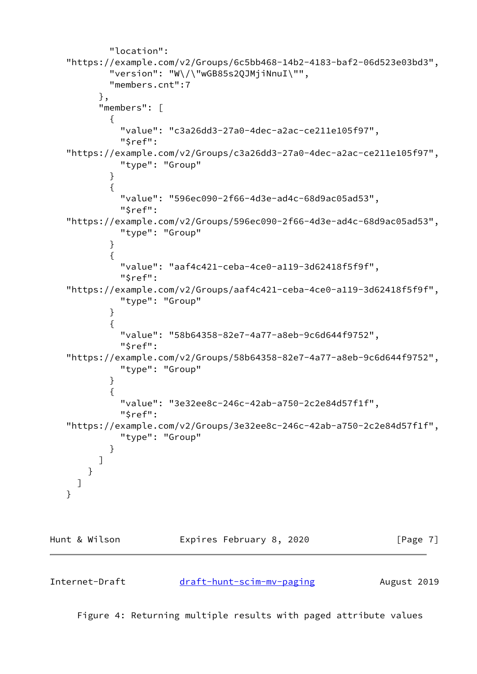```
 "location":
   "https://example.com/v2/Groups/6c5bb468-14b2-4183-baf2-06d523e03bd3",
           "version": "W\/\"wGB85s2QJMjiNnuI\"",
           "members.cnt":7
         },
         "members": [
\{ "value": "c3a26dd3-27a0-4dec-a2ac-ce211e105f97",
             "$ref":
   "https://example.com/v2/Groups/c3a26dd3-27a0-4dec-a2ac-ce211e105f97",
             "type": "Group"
 }
\{ "value": "596ec090-2f66-4d3e-ad4c-68d9ac05ad53",
             "$ref":
   "https://example.com/v2/Groups/596ec090-2f66-4d3e-ad4c-68d9ac05ad53",
             "type": "Group"
 }
\{ "value": "aaf4c421-ceba-4ce0-a119-3d62418f5f9f",
             "$ref":
   "https://example.com/v2/Groups/aaf4c421-ceba-4ce0-a119-3d62418f5f9f",
             "type": "Group"
 }
\{ "value": "58b64358-82e7-4a77-a8eb-9c6d644f9752",
             "$ref":
   "https://example.com/v2/Groups/58b64358-82e7-4a77-a8eb-9c6d644f9752",
             "type": "Group"
 }
\{ "value": "3e32ee8c-246c-42ab-a750-2c2e84d57f1f",
             "$ref":
   "https://example.com/v2/Groups/3e32ee8c-246c-42ab-a750-2c2e84d57f1f",
             "type": "Group"
 }
         ]
       }
     ]
   }
```


Internet-Draft draft-hunt-scim-my-paging August 2019

Figure 4: Returning multiple results with paged attribute values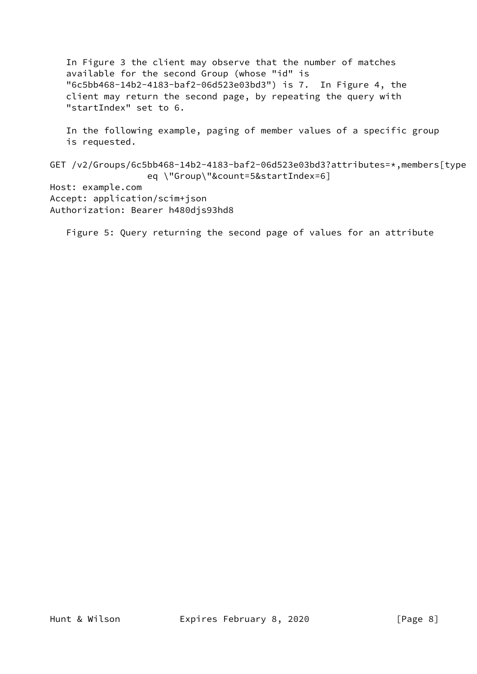In Figure 3 the client may observe that the number of matches available for the second Group (whose "id" is "6c5bb468-14b2-4183-baf2-06d523e03bd3") is 7. In Figure 4, the client may return the second page, by repeating the query with "startIndex" set to 6. In the following example, paging of member values of a specific group is requested. GET /v2/Groups/6c5bb468-14b2-4183-baf2-06d523e03bd3?attributes=\*,members[type eq \"Group\"&count=5&startIndex=6] Host: example.com Accept: application/scim+json Authorization: Bearer h480djs93hd8

Figure 5: Query returning the second page of values for an attribute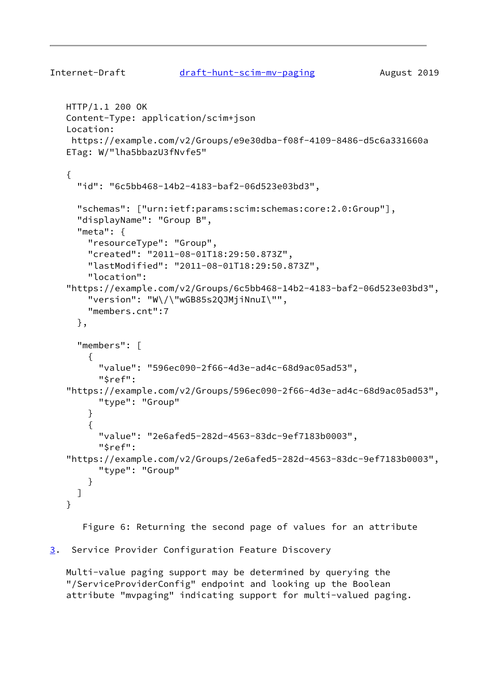```
draft-hunt-scim-mv-paging August 2019
   HTTP/1.1 200 OK
   Content-Type: application/scim+json
    Location:
    https://example.com/v2/Groups/e9e30dba-f08f-4109-8486-d5c6a331660a
    ETag: W/"lha5bbazU3fNvfe5"
    {
      "id": "6c5bb468-14b2-4183-baf2-06d523e03bd3",
      "schemas": ["urn:ietf:params:scim:schemas:core:2.0:Group"],
      "displayName": "Group B",
      "meta": {
        "resourceType": "Group",
        "created": "2011-08-01T18:29:50.873Z",
        "lastModified": "2011-08-01T18:29:50.873Z",
        "location":
    "https://example.com/v2/Groups/6c5bb468-14b2-4183-baf2-06d523e03bd3",
        "version": "W\/\"wGB85s2QJMjiNnuI\"",
        "members.cnt":7
      },
      "members": [
        {
          "value": "596ec090-2f66-4d3e-ad4c-68d9ac05ad53",
          "$ref":
    "https://example.com/v2/Groups/596ec090-2f66-4d3e-ad4c-68d9ac05ad53",
          "type": "Group"
        }
        {
          "value": "2e6afed5-282d-4563-83dc-9ef7183b0003",
          "$ref":
    "https://example.com/v2/Groups/2e6afed5-282d-4563-83dc-9ef7183b0003",
          "type": "Group"
        }
      ]
    }
```
Figure 6: Returning the second page of values for an attribute

# <span id="page-9-0"></span>[3](#page-9-0). Service Provider Configuration Feature Discovery

 Multi-value paging support may be determined by querying the "/ServiceProviderConfig" endpoint and looking up the Boolean attribute "mvpaging" indicating support for multi-valued paging.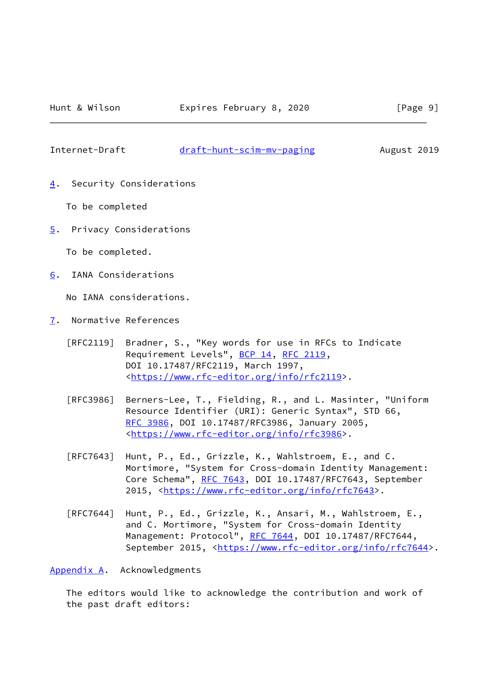<span id="page-10-1"></span>Internet-Draft [draft-hunt-scim-mv-paging](https://datatracker.ietf.org/doc/pdf/draft-hunt-scim-mv-paging) August 2019

<span id="page-10-0"></span>[4](#page-10-0). Security Considerations

To be completed

<span id="page-10-2"></span>[5](#page-10-2). Privacy Considerations

To be completed.

<span id="page-10-3"></span>[6](#page-10-3). IANA Considerations

No IANA considerations.

- <span id="page-10-4"></span>[7](#page-10-4). Normative References
	- [RFC2119] Bradner, S., "Key words for use in RFCs to Indicate Requirement Levels", [BCP 14](https://datatracker.ietf.org/doc/pdf/bcp14), [RFC 2119](https://datatracker.ietf.org/doc/pdf/rfc2119), DOI 10.17487/RFC2119, March 1997, <[https://www.rfc-editor.org/info/rfc2119>](https://www.rfc-editor.org/info/rfc2119).
	- [RFC3986] Berners-Lee, T., Fielding, R., and L. Masinter, "Uniform Resource Identifier (URI): Generic Syntax", STD 66, [RFC 3986,](https://datatracker.ietf.org/doc/pdf/rfc3986) DOI 10.17487/RFC3986, January 2005, <[https://www.rfc-editor.org/info/rfc3986>](https://www.rfc-editor.org/info/rfc3986).
	- [RFC7643] Hunt, P., Ed., Grizzle, K., Wahlstroem, E., and C. Mortimore, "System for Cross-domain Identity Management: Core Schema", [RFC 7643](https://datatracker.ietf.org/doc/pdf/rfc7643), DOI 10.17487/RFC7643, September 2015, [<https://www.rfc-editor.org/info/rfc7643](https://www.rfc-editor.org/info/rfc7643)>.
	- [RFC7644] Hunt, P., Ed., Grizzle, K., Ansari, M., Wahlstroem, E., and C. Mortimore, "System for Cross-domain Identity Management: Protocol", [RFC 7644](https://datatracker.ietf.org/doc/pdf/rfc7644), DOI 10.17487/RFC7644, September 2015, <[https://www.rfc-editor.org/info/rfc7644>](https://www.rfc-editor.org/info/rfc7644).

<span id="page-10-5"></span>[Appendix A.](#page-10-5) Acknowledgments

 The editors would like to acknowledge the contribution and work of the past draft editors: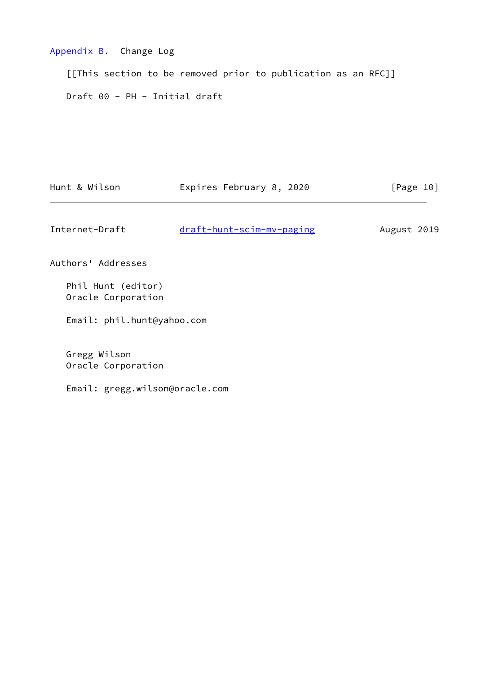# <span id="page-11-0"></span>[Appendix B.](#page-11-0) Change Log

 [[This section to be removed prior to publication as an RFC]] Draft 00 - PH - Initial draft

<span id="page-11-1"></span>

| Hunt & Wilson                            | Expires February 8, 2020  | [Page 10]   |
|------------------------------------------|---------------------------|-------------|
| Internet-Draft                           | draft-hunt-scim-mv-paging | August 2019 |
| Authors' Addresses                       |                           |             |
| Phil Hunt (editor)<br>Oracle Corporation |                           |             |
| Email: phil.hunt@yahoo.com               |                           |             |
| Gregg Wilson<br>Oracle Corporation       |                           |             |

Email: gregg.wilson@oracle.com